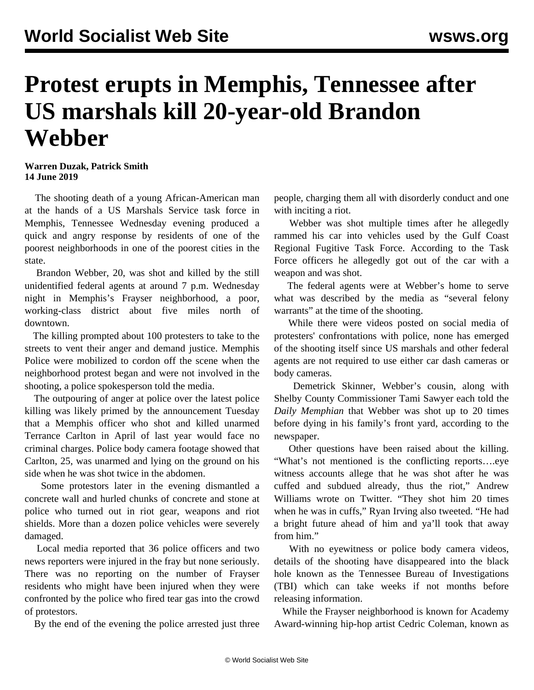## **Protest erupts in Memphis, Tennessee after US marshals kill 20-year-old Brandon Webber**

## **Warren Duzak, Patrick Smith 14 June 2019**

 The shooting death of a young African-American man at the hands of a US Marshals Service task force in Memphis, Tennessee Wednesday evening produced a quick and angry response by residents of one of the poorest neighborhoods in one of the poorest cities in the state.

 Brandon Webber, 20, was shot and killed by the still unidentified federal agents at around 7 p.m. Wednesday night in Memphis's Frayser neighborhood, a poor, working-class district about five miles north of downtown.

 The killing prompted about 100 protesters to take to the streets to vent their anger and demand justice. Memphis Police were mobilized to cordon off the scene when the neighborhood protest began and were not involved in the shooting, a police spokesperson told the media.

 The outpouring of anger at police over the latest police killing was likely primed by the announcement Tuesday that a Memphis officer who shot and killed unarmed Terrance Carlton in April of last year would face no criminal charges. Police body camera footage showed that Carlton, 25, was unarmed and lying on the ground on his side when he was shot twice in the abdomen.

 Some protestors later in the evening dismantled a concrete wall and hurled chunks of concrete and stone at police who turned out in riot gear, weapons and riot shields. More than a dozen police vehicles were severely damaged.

 Local media reported that 36 police officers and two news reporters were injured in the fray but none seriously. There was no reporting on the number of Frayser residents who might have been injured when they were confronted by the police who fired tear gas into the crowd of protestors.

By the end of the evening the police arrested just three

people, charging them all with disorderly conduct and one with inciting a riot.

 Webber was shot multiple times after he allegedly rammed his car into vehicles used by the Gulf Coast Regional Fugitive Task Force. According to the Task Force officers he allegedly got out of the car with a weapon and was shot.

 The federal agents were at Webber's home to serve what was described by the media as "several felony warrants" at the time of the shooting.

 While there were videos posted on social media of protesters' confrontations with police, none has emerged of the shooting itself since US marshals and other federal agents are not required to use either car dash cameras or body cameras.

 Demetrick Skinner, Webber's cousin, along with Shelby County Commissioner Tami Sawyer each told the *Daily Memphian* that Webber was shot up to 20 times before dying in his family's front yard, according to the [newspaper.](https://dailymemphian.com/section/metro/article/5619/Chaos-erupts-following-officer-involved-shooting-in-Frayser-area)

 Other questions have been raised about the killing. "What's not mentioned is the conflicting reports….eye witness accounts allege that he was shot after he was cuffed and subdued already, thus the riot," Andrew Williams wrote on Twitter. "They shot him 20 times when he was in cuffs," Ryan Irving also tweeted. "He had a bright future ahead of him and ya'll took that away from him."

 With no eyewitness or police body camera videos, details of the shooting have disappeared into the black hole known as the Tennessee Bureau of Investigations (TBI) which can take weeks if not months before releasing information.

 While the Frayser neighborhood is known for Academy Award-winning hip-hop artist Cedric Coleman, known as